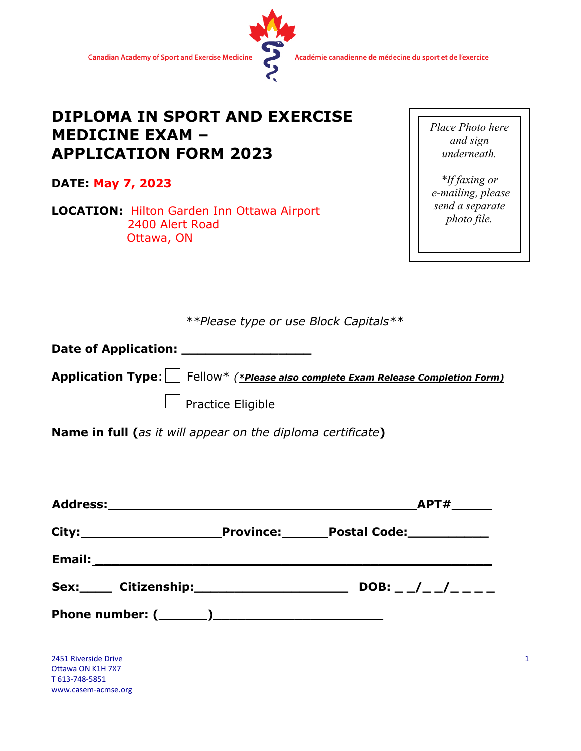

Académie canadienne de médecine du sport et de l'exercice

## **DIPLOMA IN SPORT AND EXERCISE MEDICINE EXAM – APPLICATION FORM 2023**

**DATE: May 7, 2023**

T 613-748-5851 www.casem-acmse.org

**LOCATION:** Hilton Garden Inn Ottawa Airport 2400 Alert Road Ottawa, ON

*Place Photo here and sign underneath.* 

*\*If faxing or e-mailing, please send a separate photo file.* 

*\*\*Please type or use Block Capitals\*\**

**Date of Application: \_\_\_\_\_\_\_\_\_\_\_\_\_\_\_\_**

**Application Type**: Fellow\* *(\*Please also complete Exam Release Completion Form)*

Practice Eligible

**Name in full (***as it will appear on the diploma certificate***)**

|                                           |                                | APT#                   |
|-------------------------------------------|--------------------------------|------------------------|
|                                           |                                |                        |
|                                           |                                |                        |
|                                           | Sex: Citizenship: Citizenship: | DOB: $-$ / $-$ / $  -$ |
|                                           |                                |                        |
|                                           |                                |                        |
| 2451 Riverside Drive<br>Ottawa ON K1H 7X7 |                                |                        |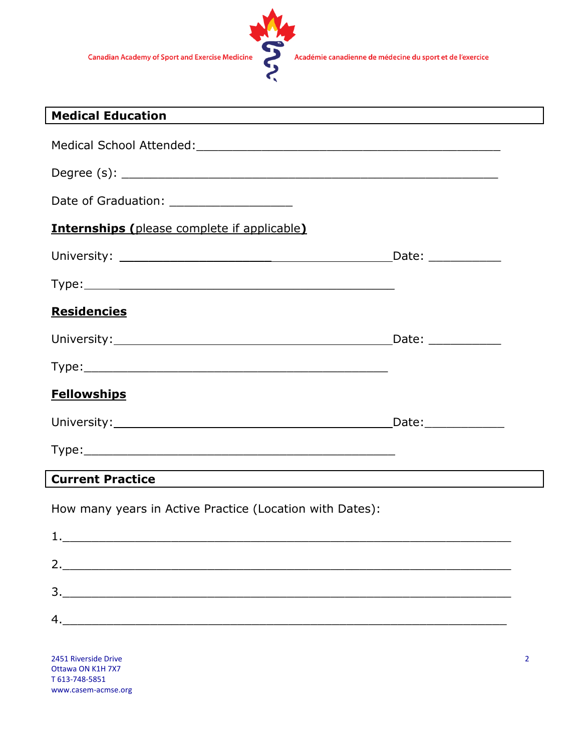

| <b>Medical Education</b><br>the control of the control of the control of the control of the control of the control of the control of the control of the control of the control of the control of the control of the control of the control of the control |  |
|-----------------------------------------------------------------------------------------------------------------------------------------------------------------------------------------------------------------------------------------------------------|--|
|                                                                                                                                                                                                                                                           |  |
|                                                                                                                                                                                                                                                           |  |
| Date of Graduation: ___________________                                                                                                                                                                                                                   |  |
| <b>Internships (please complete if applicable)</b>                                                                                                                                                                                                        |  |
|                                                                                                                                                                                                                                                           |  |
|                                                                                                                                                                                                                                                           |  |
| <b>Residencies</b>                                                                                                                                                                                                                                        |  |
|                                                                                                                                                                                                                                                           |  |
|                                                                                                                                                                                                                                                           |  |
| <b>Fellowships</b>                                                                                                                                                                                                                                        |  |
|                                                                                                                                                                                                                                                           |  |
|                                                                                                                                                                                                                                                           |  |
| <b>Current Practice</b>                                                                                                                                                                                                                                   |  |
| How many years in Active Practice (Location with Dates):                                                                                                                                                                                                  |  |
|                                                                                                                                                                                                                                                           |  |
|                                                                                                                                                                                                                                                           |  |
| $\frac{3}{2}$                                                                                                                                                                                                                                             |  |
| 4.                                                                                                                                                                                                                                                        |  |
|                                                                                                                                                                                                                                                           |  |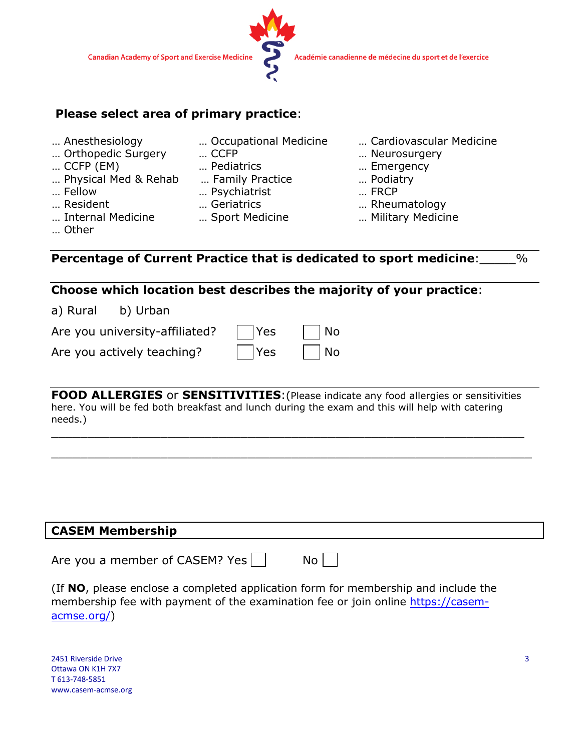

#### **Please select area of primary practice**:

- 
- … Orthopedic Surgery … CCFP … Neurosurgery
- 
- … Physical Med & Rehab … Family Practice … Podiatry
- 
- 
- 
- 
- … CCFP (EM) … Pediatrics … Emergency
	-
- … Fellow … Psychiatrist … FRCP
	-
	-
- … Anesthesiology … Occupational Medicine … Cardiovascular Medicine
	-
	-
	-
	-
- … Resident … Geriatrics … Rheumatology
- … Internal Medicine … Sport Medicine … Military Medicine
- … Other

**Percentage of Current Practice that is dedicated to sport medicine**:\_\_\_\_\_%

#### **Choose which location best describes the majority of your practice**:

a) Rural b) Urban

| Are you university-affiliated? | $ $ Yes | No                          |
|--------------------------------|---------|-----------------------------|
| Are you actively teaching?     | $ $ Yes | $\overline{\phantom{a}}$ No |

**FOOD ALLERGIES** or **SENSITIVITIES**:(Please indicate any food allergies or sensitivities here. You will be fed both breakfast and lunch during the exam and this will help with catering needs.)

\_\_\_\_\_\_\_\_\_\_\_\_\_\_\_\_\_\_\_\_\_\_\_\_\_\_\_\_\_\_\_\_\_\_\_\_\_\_\_\_\_\_\_\_\_\_\_\_\_\_\_\_\_\_\_\_\_\_\_\_\_\_\_\_\_

\_\_\_\_\_\_\_\_\_\_\_\_\_\_\_\_\_\_\_\_\_\_\_\_\_\_\_\_\_\_\_\_\_\_\_\_\_\_\_\_\_\_\_\_\_\_\_\_\_\_\_\_\_\_\_\_\_\_\_\_\_\_\_\_\_\_

| <b>CASEM Membership</b>                                                                                                                                                |  |  |  |  |  |
|------------------------------------------------------------------------------------------------------------------------------------------------------------------------|--|--|--|--|--|
| Are you a member of CASEM? Yes<br>$No$                                                                                                                                 |  |  |  |  |  |
| (If NO, please enclose a completed application form for membership and include the<br>membership fee with payment of the examination fee or join online https://casem- |  |  |  |  |  |

[acmse.org/\)](https://casem-acmse.org/)

2451 Riverside Drive Ottawa ON K1H 7X7 T 613-748-5851 www.casem-acmse.org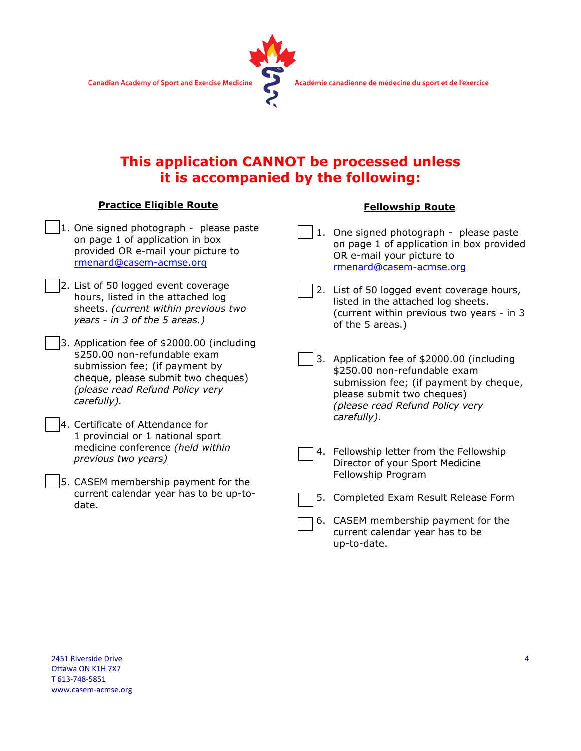

## **This application CANNOT be processed unless it is accompanied by the following:**

#### **Practice Eligible Route**

- 1. One signed photograph please paste on page 1 of application in box provided OR e-mail your picture to [rmenard@casem-acmse.org](mailto:rmenard@casem-acmse.org)
	- 2. List of 50 logged event coverage hours, listed in the attached log sheets. *(current within previous two years - in 3 of the 5 areas.)*
	- 3. Application fee of \$2000.00 (including \$250.00 non-refundable exam submission fee; (if payment by cheque, please submit two cheques) *(please read Refund Policy very carefully).*
	- 4. Certificate of Attendance for 1 provincial or 1 national sport medicine conference *(held within previous two years)*
	- 5. CASEM membership payment for the current calendar year has to be up-todate.

#### **Fellowship Route**

- 1. One signed photograph please paste on page 1 of application in box provided OR e-mail your picture to [rmenard@casem-acmse.org](mailto:rmenard@casem-acmse.org)
- 2. List of 50 logged event coverage hours, listed in the attached log sheets. (current within previous two years - in 3 of the 5 areas.)
- 3. Application fee of \$2000.00 (including \$250.00 non-refundable exam submission fee; (if payment by cheque, please submit two cheques) *(please read Refund Policy very carefully)*.
- 4. Fellowship letter from the Fellowship Director of your Sport Medicine Fellowship Program
- 5. Completed Exam Result Release Form
- 6. CASEM membership payment for the current calendar year has to be up-to-date.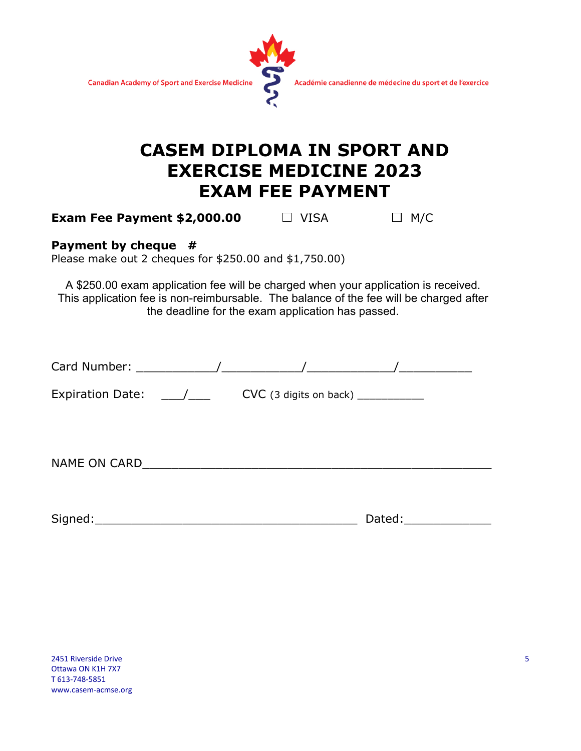

# **CASEM DIPLOMA IN SPORT AND EXERCISE MEDICINE 2023 EXAM FEE PAYMENT**

**Exam Fee Payment \$2,000.00**  $\Box$  **VISA**  $\Box$  **M/C** 

#### **Payment by cheque #**

Please make out 2 cheques for \$250.00 and \$1,750.00)

A \$250.00 exam application fee will be charged when your application is received. This application fee is non-reimbursable. The balance of the fee will be charged after the deadline for the exam application has passed.

| Card Number: The Manuscript of American American American American American American American American America |                                       |        |
|----------------------------------------------------------------------------------------------------------------|---------------------------------------|--------|
| Expiration Date: $\frac{1}{\sqrt{2}}$                                                                          | $CVC$ (3 digits on back) ____________ |        |
| NAME ON CARD_                                                                                                  |                                       |        |
| Signed:                                                                                                        |                                       | Dated: |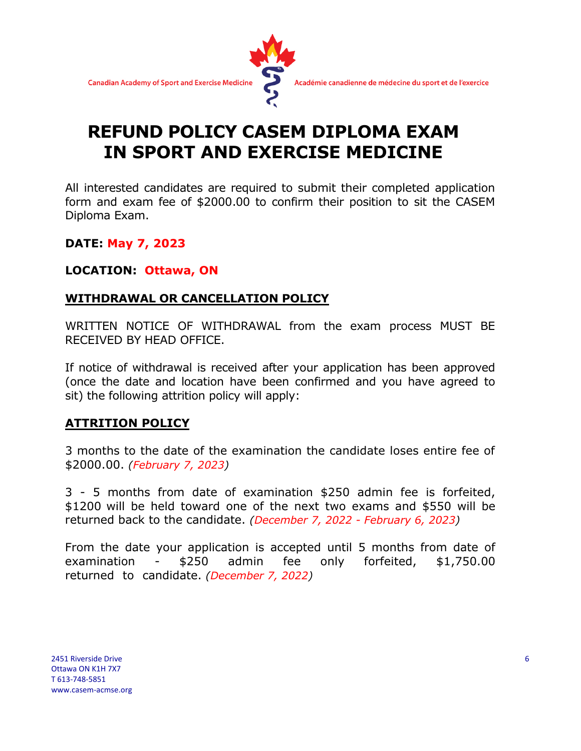

# **REFUND POLICY CASEM DIPLOMA EXAM IN SPORT AND EXERCISE MEDICINE**

All interested candidates are required to submit their completed application form and exam fee of \$2000.00 to confirm their position to sit the CASEM Diploma Exam.

**DATE: May 7, 2023**

#### **LOCATION: Ottawa, ON**

### **WITHDRAWAL OR CANCELLATION POLICY**

WRITTEN NOTICE OF WITHDRAWAL from the exam process MUST BE RECEIVED BY HEAD OFFICE.

If notice of withdrawal is received after your application has been approved (once the date and location have been confirmed and you have agreed to sit) the following attrition policy will apply:

#### **ATTRITION POLICY**

3 months to the date of the examination the candidate loses entire fee of \$2000.00. *(February 7, 2023)*

3 - 5 months from date of examination \$250 admin fee is forfeited, \$1200 will be held toward one of the next two exams and \$550 will be returned back to the candidate. *(December 7, 2022 - February 6, 2023)*

From the date your application is accepted until 5 months from date of examination - \$250 admin fee only forfeited, \$1,750.00 returned to candidate. *(December 7, 2022)*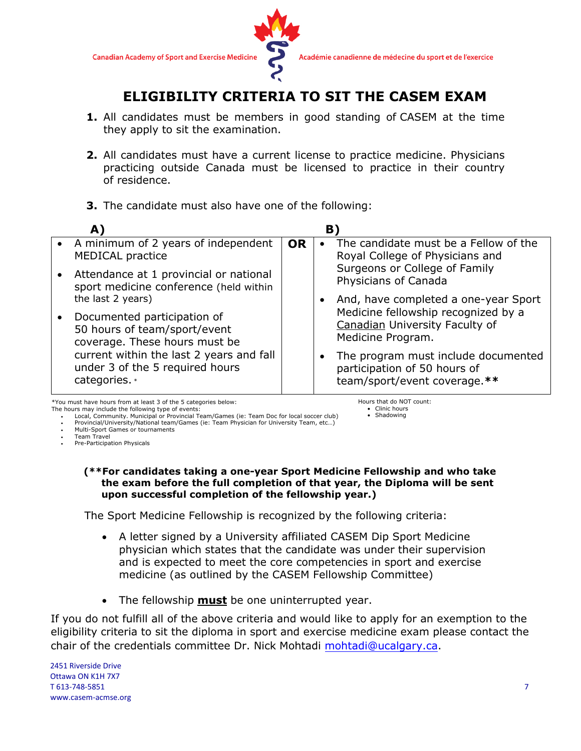

## **ELIGIBILITY CRITERIA TO SIT THE CASEM EXAM**

- **1.** All candidates must be members in good standing of CASEM at the time they apply to sit the examination.
- **2.** All candidates must have a current license to practice medicine. Physicians practicing outside Canada must be licensed to practice in their country of residence.
- **3.** The candidate must also have one of the following:

| A)                                                                                           |           | B.        |                                                                                                     |
|----------------------------------------------------------------------------------------------|-----------|-----------|-----------------------------------------------------------------------------------------------------|
| • A minimum of 2 years of independent<br><b>MEDICAL practice</b>                             | <b>OR</b> | $\bullet$ | The candidate must be a Fellow of the<br>Royal College of Physicians and                            |
| Attendance at 1 provincial or national<br>sport medicine conference (held within             |           |           | Surgeons or College of Family<br>Physicians of Canada                                               |
| the last 2 years)                                                                            |           |           | And, have completed a one-year Sport                                                                |
| Documented participation of<br>50 hours of team/sport/event<br>coverage. These hours must be |           |           | Medicine fellowship recognized by a<br>Canadian University Faculty of<br>Medicine Program.          |
| current within the last 2 years and fall<br>under 3 of the 5 required hours<br>categories. * |           |           | The program must include documented<br>participation of 50 hours of<br>team/sport/event coverage.** |

\*You must have hours from at least 3 of the 5 categories below: The hours may include the following type of events:

Hours that do NOT count:

• Clinic hours • Shadowing

• Local, Community. Municipal or Provincial Team/Games (ie: Team Doc for local soccer club) • Provincial/University/National team/Games (ie: Team Physician for University Team, etc…)

• Multi-Sport Games or tournaments

• Team Travel

• Pre-Participation Physicals

#### **(\*\*For candidates taking a one-year Sport Medicine Fellowship and who take the exam before the full completion of that year, the Diploma will be sent upon successful completion of the fellowship year.)**

The Sport Medicine Fellowship is recognized by the following criteria:

- A letter signed by a University affiliated CASEM Dip Sport Medicine physician which states that the candidate was under their supervision and is expected to meet the core competencies in sport and exercise medicine (as outlined by the CASEM Fellowship Committee)
- The fellowship **must** be one uninterrupted year.

If you do not fulfill all of the above criteria and would like to apply for an exemption to the eligibility criteria to sit the diploma in sport and exercise medicine exam please contact the chair of the credentials committee Dr. Nick Mohtadi mohtadi@ucalgary.ca.

2451 Riverside Drive Ottawa ON K1H 7X7 T 613-748-5851 www.casem-acmse.org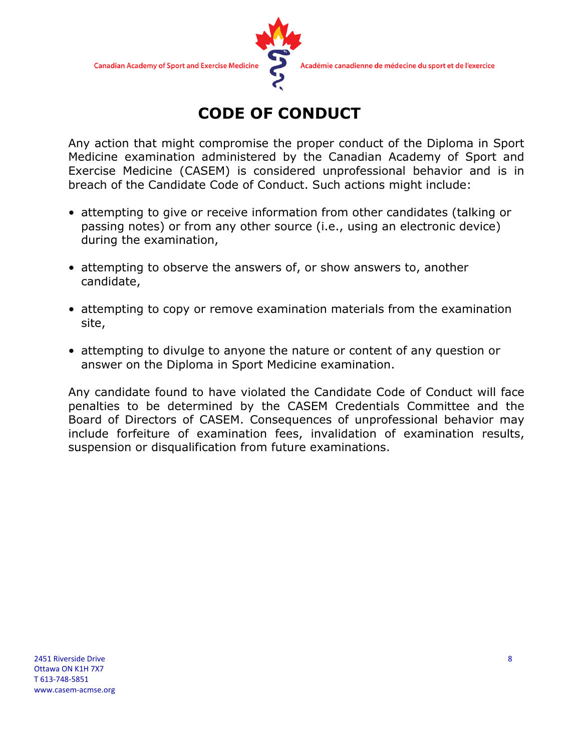

# **CODE OF CONDUCT**

Any action that might compromise the proper conduct of the Diploma in Sport Medicine examination administered by the Canadian Academy of Sport and Exercise Medicine (CASEM) is considered unprofessional behavior and is in breach of the Candidate Code of Conduct. Such actions might include:

- attempting to give or receive information from other candidates (talking or passing notes) or from any other source (i.e., using an electronic device) during the examination,
- attempting to observe the answers of, or show answers to, another candidate,
- attempting to copy or remove examination materials from the examination site,
- attempting to divulge to anyone the nature or content of any question or answer on the Diploma in Sport Medicine examination.

Any candidate found to have violated the Candidate Code of Conduct will face penalties to be determined by the CASEM Credentials Committee and the Board of Directors of CASEM. Consequences of unprofessional behavior may include forfeiture of examination fees, invalidation of examination results, suspension or disqualification from future examinations.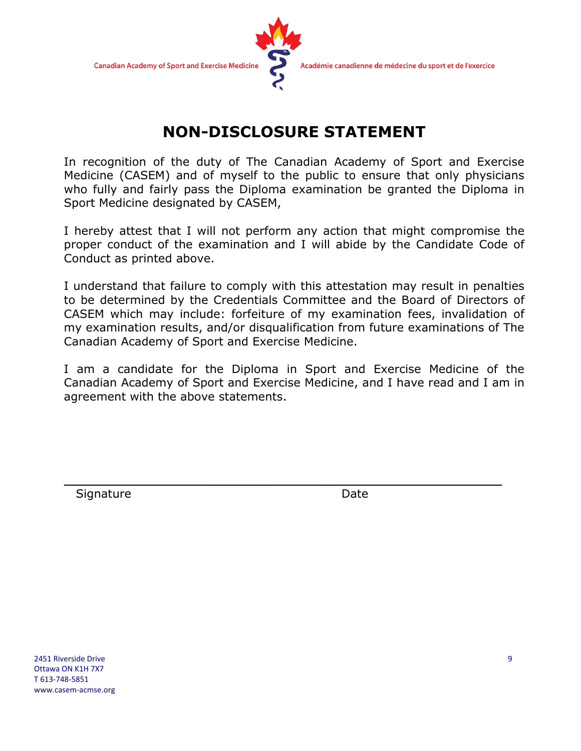

## **NON-DISCLOSURE STATEMENT**

In recognition of the duty of The Canadian Academy of Sport and Exercise Medicine (CASEM) and of myself to the public to ensure that only physicians who fully and fairly pass the Diploma examination be granted the Diploma in Sport Medicine designated by CASEM,

I hereby attest that I will not perform any action that might compromise the proper conduct of the examination and I will abide by the Candidate Code of Conduct as printed above.

I understand that failure to comply with this attestation may result in penalties to be determined by the Credentials Committee and the Board of Directors of CASEM which may include: forfeiture of my examination fees, invalidation of my examination results, and/or disqualification from future examinations of The Canadian Academy of Sport and Exercise Medicine.

I am a candidate for the Diploma in Sport and Exercise Medicine of the Canadian Academy of Sport and Exercise Medicine, and I have read and I am in agreement with the above statements.

 $\overline{\phantom{a}}$  , and the contract of the contract of the contract of the contract of the contract of the contract of the contract of the contract of the contract of the contract of the contract of the contract of the contrac

Signature Date Date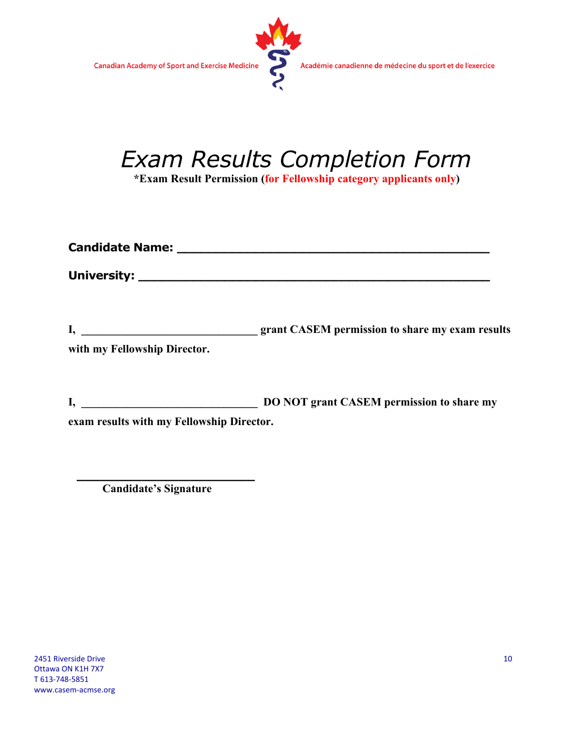

# *Exam Results Completion Form*

**\*Exam Result Permission (for Fellowship category applicants only)**

| with my Fellowship Director.              |                                                  |
|-------------------------------------------|--------------------------------------------------|
| $I, \underline{\hspace{2cm}}$             | <b>DO NOT grant CASEM permission to share my</b> |
| exam results with my Fellowship Director. |                                                  |

**\_\_\_\_\_\_\_\_\_\_\_\_\_\_\_\_\_\_\_\_\_\_ Candidate's Signature**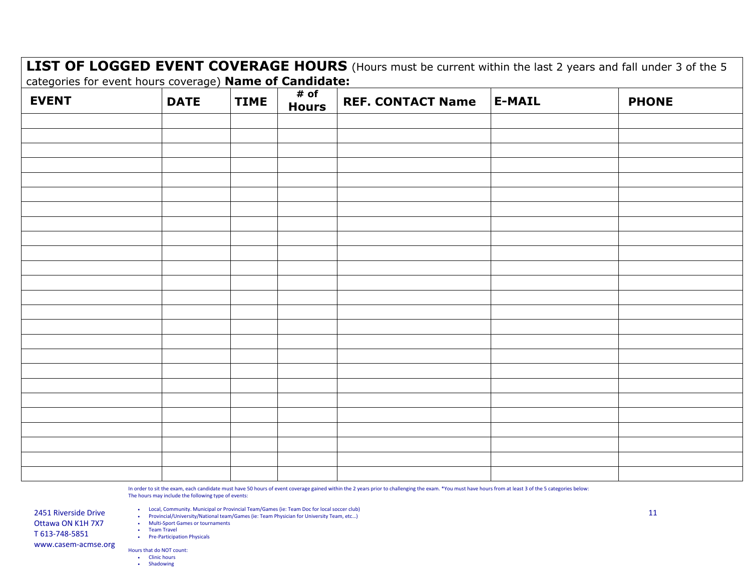**LIST OF LOGGED EVENT COVERAGE HOURS** (Hours must be current within the last 2 years and fall under 3 of the 5 categories for event hours coverage) **Name of Candidate:** 

| <b>EVENT</b> | <b>DATE</b> | <b>TIME</b> | # of<br><b>Hours</b> | REF. CONTACT Name   E-MAIL | <b>PHONE</b> |
|--------------|-------------|-------------|----------------------|----------------------------|--------------|
|              |             |             |                      |                            |              |
|              |             |             |                      |                            |              |
|              |             |             |                      |                            |              |
|              |             |             |                      |                            |              |
|              |             |             |                      |                            |              |
|              |             |             |                      |                            |              |
|              |             |             |                      |                            |              |
|              |             |             |                      |                            |              |
|              |             |             |                      |                            |              |
|              |             |             |                      |                            |              |
|              |             |             |                      |                            |              |
|              |             |             |                      |                            |              |
|              |             |             |                      |                            |              |
|              |             |             |                      |                            |              |
|              |             |             |                      |                            |              |
|              |             |             |                      |                            |              |
|              |             |             |                      |                            |              |
|              |             |             |                      |                            |              |
|              |             |             |                      |                            |              |
|              |             |             |                      |                            |              |
|              |             |             |                      |                            |              |
|              |             |             |                      |                            |              |
|              |             |             |                      |                            |              |
|              |             |             |                      |                            |              |
|              |             |             |                      |                            |              |

In order to sit the exam, each candidate must have 50 hours of event coverage gained within the 2 years prior to challenging the exam. \*You must have hours from at least 3 of the 5 categories below: The hours may include the following type of events:

• Local, Community. Municipal or Provincial Team/Games (ie: Team Doc for local soccer club)

2451 Riverside Drive • Coldi, Community. Municipal or Provincial Team/Games (ie: Team Physician for University Team, etc...)<br>11 Provincial/University/National team/Games (ie: Team Physician for University Team, etc...)

• Multi-Sport Games or tournaments

• Team Travel

• Pre-Participation Physicals

Hours that do NOT count:

• Clinic hours

Ottawa ON K1H 7X7 T 613-748-5851 www.casem-acmse.org

• Shadowing